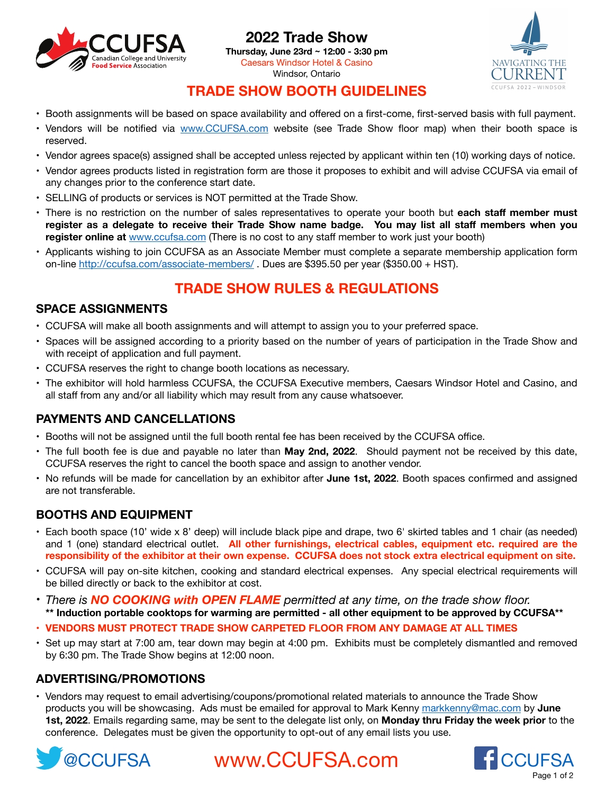

# **2022 Trade Show**

**Thursday, June 23rd ~ 12:00 - 3:30 pm**  Caesars Windsor Hotel & Casino Windsor, Ontario



# **TRADE SHOW BOOTH GUIDELINES**

- Booth assignments will be based on space availability and offered on a first-come, first-served basis with full payment.
- Vendors will be notified via [www.CCUFSA.com](http://ccufsa.com/conference-2022-2/trade-show/) website (see Trade Show floor map) when their booth space is reserved.
- Vendor agrees space(s) assigned shall be accepted unless rejected by applicant within ten (10) working days of notice.
- Vendor agrees products listed in registration form are those it proposes to exhibit and will advise CCUFSA via email of any changes prior to the conference start date.
- SELLING of products or services is NOT permitted at the Trade Show.
- There is no restriction on the number of sales representatives to operate your booth but **each staff member must register as a delegate to receive their Trade Show name badge. You may list all staff members when you register online at** [www.ccufsa.com](www.http://ccufsa.com/conference-2022-2/trade-show/ccufsa.com) (There is no cost to any staff member to work just your booth)
- Applicants wishing to join CCUFSA as an Associate Member must complete a separate membership application form on-line <http://ccufsa.com/associate-members/>. Dues are \$395.50 per year (\$350.00 + HST).

# **TRADE SHOW RULES & REGULATIONS**

# **SPACE ASSIGNMENTS**

- CCUFSA will make all booth assignments and will attempt to assign you to your preferred space.
- Spaces will be assigned according to a priority based on the number of years of participation in the Trade Show and with receipt of application and full payment.
- CCUFSA reserves the right to change booth locations as necessary.
- The exhibitor will hold harmless CCUFSA, the CCUFSA Executive members, Caesars Windsor Hotel and Casino, and all staff from any and/or all liability which may result from any cause whatsoever.

# **PAYMENTS AND CANCELLATIONS**

- Booths will not be assigned until the full booth rental fee has been received by the CCUFSA office.
- The full booth fee is due and payable no later than **May 2nd, 2022**. Should payment not be received by this date, CCUFSA reserves the right to cancel the booth space and assign to another vendor.
- No refunds will be made for cancellation by an exhibitor after **June 1st, 2022**. Booth spaces confirmed and assigned are not transferable.

# **BOOTHS AND EQUIPMENT**

- Each booth space (10' wide x 8' deep) will include black pipe and drape, two 6' skirted tables and 1 chair (as needed) and 1 (one) standard electrical outlet. **All other furnishings, electrical cables, equipment etc. required are the responsibility of the exhibitor at their own expense. CCUFSA does not stock extra electrical equipment on site.**
- CCUFSA will pay on-site kitchen, cooking and standard electrical expenses. Any special electrical requirements will be billed directly or back to the exhibitor at cost.
- *There is NO COOKING with OPEN FLAME permitted at any time, on the trade show floor.* **\*\* Induction portable cooktops for warming are permitted - all other equipment to be approved by CCUFSA\*\***
- **• VENDORS MUST PROTECT TRADE SHOW CARPETED FLOOR FROM ANY DAMAGE AT ALL TIMES**
- Set up may start at 7:00 am, tear down may begin at 4:00 pm. Exhibits must be completely dismantled and removed by 6:30 pm. The Trade Show begins at 12:00 noon.

### **ADVERTISING/PROMOTIONS**

• Vendors may request to email advertising/coupons/promotional related materials to announce the Trade Show products you will be showcasing. Ads must be emailed for approval to Mark Kenny [markkenny@mac.com](mailto:markkenny@mac.com) by **June 1st, 2022**. Emails regarding same, may be sent to the delegate list only, on **Monday thru Friday the week prior** to the conference. Delegates must be given the opportunity to opt-out of any email lists you use.